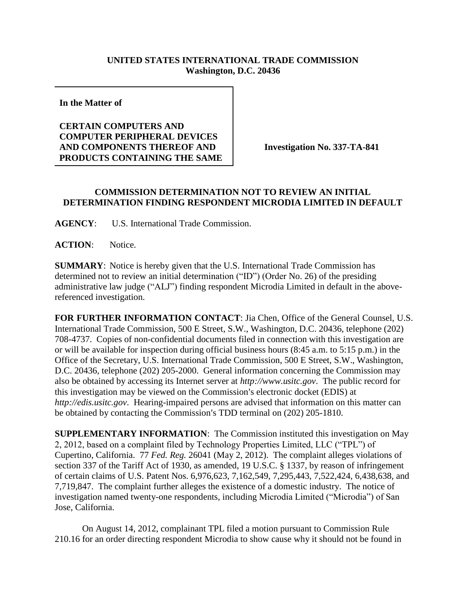## **UNITED STATES INTERNATIONAL TRADE COMMISSION Washington, D.C. 20436**

**In the Matter of** 

## **CERTAIN COMPUTERS AND COMPUTER PERIPHERAL DEVICES AND COMPONENTS THEREOF AND PRODUCTS CONTAINING THE SAME**

**Investigation No. 337-TA-841**

## **COMMISSION DETERMINATION NOT TO REVIEW AN INITIAL DETERMINATION FINDING RESPONDENT MICRODIA LIMITED IN DEFAULT**

**AGENCY**: U.S. International Trade Commission.

**ACTION**: Notice.

**SUMMARY**: Notice is hereby given that the U.S. International Trade Commission has determined not to review an initial determination ("ID") (Order No. 26) of the presiding administrative law judge ("ALJ") finding respondent Microdia Limited in default in the abovereferenced investigation.

**FOR FURTHER INFORMATION CONTACT**: Jia Chen, Office of the General Counsel, U.S. International Trade Commission, 500 E Street, S.W., Washington, D.C. 20436, telephone (202) 708-4737. Copies of non-confidential documents filed in connection with this investigation are or will be available for inspection during official business hours (8:45 a.m. to 5:15 p.m.) in the Office of the Secretary, U.S. International Trade Commission, 500 E Street, S.W., Washington, D.C. 20436, telephone (202) 205-2000. General information concerning the Commission may also be obtained by accessing its Internet server at *http://www.usitc.gov*. The public record for this investigation may be viewed on the Commission's electronic docket (EDIS) at *http://edis.usitc.gov*. Hearing-impaired persons are advised that information on this matter can be obtained by contacting the Commission's TDD terminal on (202) 205-1810.

**SUPPLEMENTARY INFORMATION**: The Commission instituted this investigation on May 2, 2012, based on a complaint filed by Technology Properties Limited, LLC ("TPL") of Cupertino, California. 77 *Fed. Reg.* 26041 (May 2, 2012). The complaint alleges violations of section 337 of the Tariff Act of 1930, as amended, 19 U.S.C. § 1337, by reason of infringement of certain claims of U.S. Patent Nos. 6,976,623, 7,162,549, 7,295,443, 7,522,424, 6,438,638, and 7,719,847. The complaint further alleges the existence of a domestic industry. The notice of investigation named twenty-one respondents, including Microdia Limited ("Microdia") of San Jose, California.

On August 14, 2012, complainant TPL filed a motion pursuant to Commission Rule 210.16 for an order directing respondent Microdia to show cause why it should not be found in